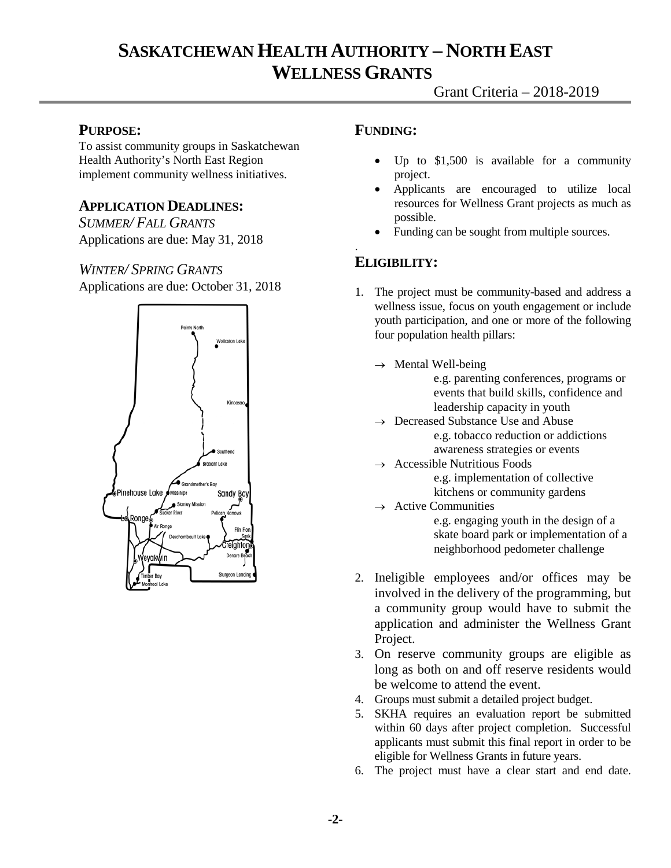# **SASKATCHEWAN HEALTH AUTHORITY – NORTH EAST WELLNESS GRANTS**

### **PURPOSE:**

To assist community groups in Saskatchewan Health Authority's North East Region implement community wellness initiatives.

### **APPLICATION DEADLINES:**

*SUMMER/ FALL GRANTS* Applications are due: May 31, 2018

### *WINTER/ SPRING GRANTS*

Applications are due: October 31, 2018



### **FUNDING:**

- Up to  $$1,500$  is available for a community project.
- Applicants are encouraged to utilize local resources for Wellness Grant projects as much as possible.
- Funding can be sought from multiple sources.

# **ELIGIBILITY:**

.

- 1. The project must be community-based and address a wellness issue, focus on youth engagement or include youth participation, and one or more of the following four population health pillars:
	- $\rightarrow$  Mental Well-being
		- e.g. parenting conferences, programs or events that build skills, confidence and leadership capacity in youth
	- $\rightarrow$  Decreased Substance Use and Abuse e.g. tobacco reduction or addictions awareness strategies or events
	- Accessible Nutritious Foods

e.g. implementation of collective kitchens or community gardens

 $\rightarrow$  Active Communities

e.g. engaging youth in the design of a skate board park or implementation of a neighborhood pedometer challenge

- 2. Ineligible employees and/or offices may be involved in the delivery of the programming, but a community group would have to submit the application and administer the Wellness Grant Project.
- 3. On reserve community groups are eligible as long as both on and off reserve residents would be welcome to attend the event.
- 4. Groups must submit a detailed project budget.
- 5. SKHA requires an evaluation report be submitted within 60 days after project completion. Successful applicants must submit this final report in order to be eligible for Wellness Grants in future years.
- 6. The project must have a clear start and end date.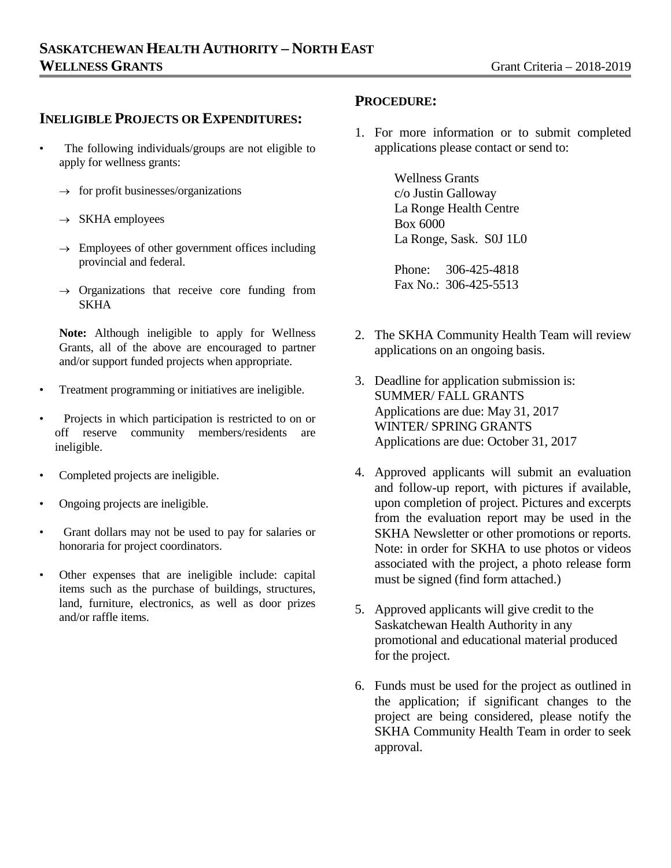### **INELIGIBLE PROJECTS OR EXPENDITURES:**

- The following individuals/groups are not eligible to apply for wellness grants:
	- $\rightarrow$  for profit businesses/organizations
	- $\rightarrow$  SKHA employees
	- $\rightarrow$  Employees of other government offices including provincial and federal.
	- $\rightarrow$  Organizations that receive core funding from **SKHA**

**Note:** Although ineligible to apply for Wellness Grants, all of the above are encouraged to partner and/or support funded projects when appropriate.

- Treatment programming or initiatives are ineligible.
- Projects in which participation is restricted to on or off reserve community members/residents are ineligible.
- Completed projects are ineligible.
- Ongoing projects are ineligible.
- Grant dollars may not be used to pay for salaries or honoraria for project coordinators.
- Other expenses that are ineligible include: capital items such as the purchase of buildings, structures, land, furniture, electronics, as well as door prizes and/or raffle items.

#### **PROCEDURE:**

1. For more information or to submit completed applications please contact or send to:

> Wellness Grants c/o Justin Galloway La Ronge Health Centre Box 6000 La Ronge, Sask. S0J 1L0

Phone: 306-425-4818 Fax No.: 306-425-5513

- 2. The SKHA Community Health Team will review applications on an ongoing basis.
- 3. Deadline for application submission is: SUMMER/ FALL GRANTS Applications are due: May 31, 2017 WINTER/ SPRING GRANTS Applications are due: October 31, 2017
- 4. Approved applicants will submit an evaluation and follow-up report, with pictures if available, upon completion of project. Pictures and excerpts from the evaluation report may be used in the SKHA Newsletter or other promotions or reports. Note: in order for SKHA to use photos or videos associated with the project, a photo release form must be signed (find form attached.)
- 5. Approved applicants will give credit to the Saskatchewan Health Authority in any promotional and educational material produced for the project.
- 6. Funds must be used for the project as outlined in the application; if significant changes to the project are being considered, please notify the SKHA Community Health Team in order to seek approval.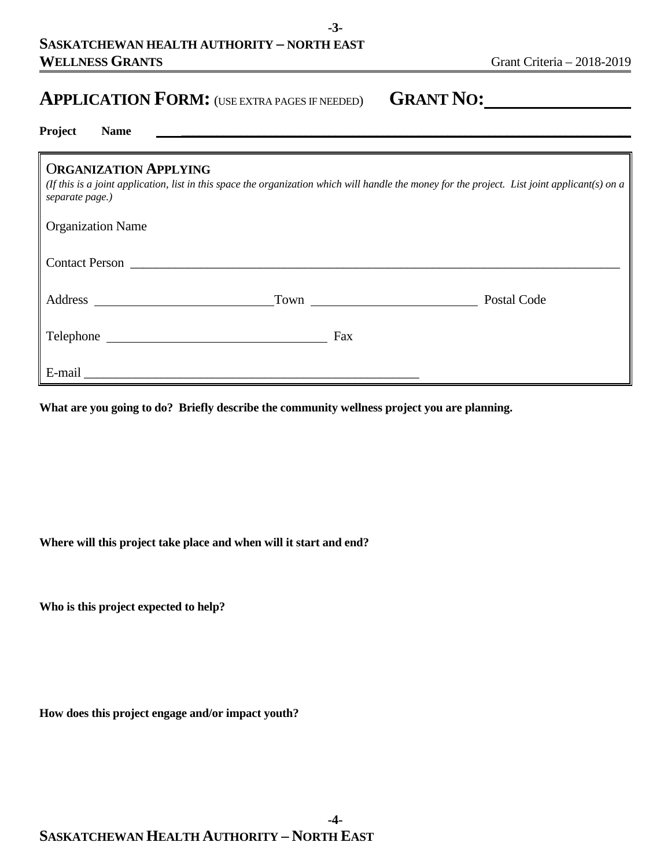# **APPLICATION FORM:** (USE EXTRA PAGES IF NEEDED) **GRANT NO:**

| Project | Name |  |
|---------|------|--|
|---------|------|--|

# O**RGANIZATION APPLYING**

*(If this is a joint application, list in this space the organization which will handle the money for the project. List joint applicant(s) on a separate page.)*

**-3-**

| Contact Person                                                     |      |             |  |  |  |  |
|--------------------------------------------------------------------|------|-------------|--|--|--|--|
| Address<br><u> 1980 - Jan Stein Berlin, amerikansk politiker (</u> | Town | Postal Code |  |  |  |  |
|                                                                    | Fax  |             |  |  |  |  |
| E-mail                                                             |      |             |  |  |  |  |

**What are you going to do? Briefly describe the community wellness project you are planning.**

**Where will this project take place and when will it start and end?**

**Who is this project expected to help?** 

**How does this project engage and/or impact youth?**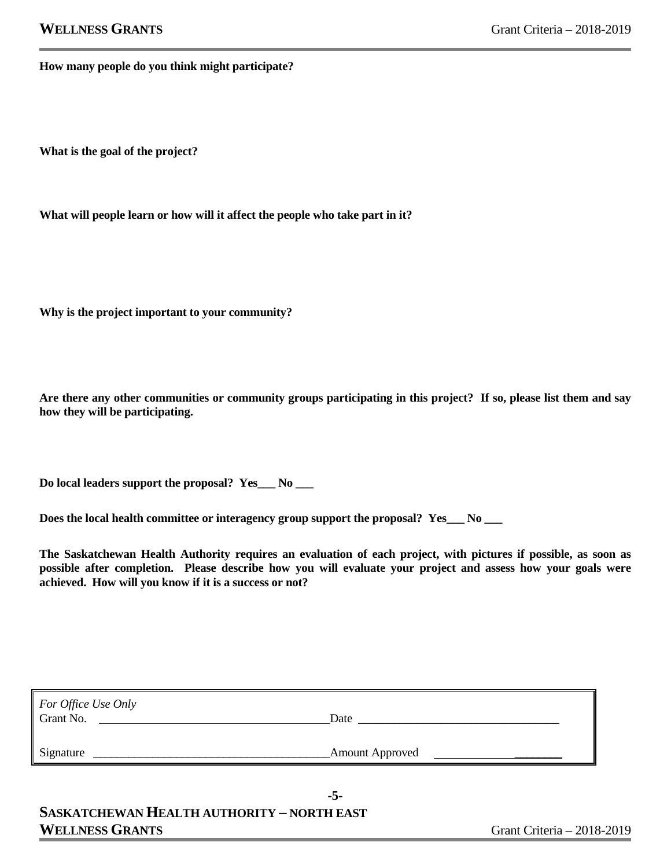**How many people do you think might participate?**

**What is the goal of the project?** 

**What will people learn or how will it affect the people who take part in it?**

**Why is the project important to your community?**

**Are there any other communities or community groups participating in this project? If so, please list them and say how they will be participating.**

**Do local leaders support the proposal? Yes\_\_\_ No \_\_\_**

**Does the local health committee or interagency group support the proposal? Yes\_\_\_ No \_\_\_**

**The Saskatchewan Health Authority requires an evaluation of each project, with pictures if possible, as soon as possible after completion. Please describe how you will evaluate your project and assess how your goals were achieved. How will you know if it is a success or not?**

| For Office Use Only |                        |  |
|---------------------|------------------------|--|
| Grant No.           | Date                   |  |
|                     |                        |  |
| Signature           | <b>Amount Approved</b> |  |

**-5-**

**SASKATCHEWAN HEALTH AUTHORITY – NORTH EAST** WELLNESS GRANTS GRANTS GERANTS GRANTS GERALD AND STRUCK AND STRUCK AND STRUCK AND STRUCK AND STRUCK AND STRUCK AND STRUCK AND STRUCK AND STRUCK AND STRUCK AND STRUCK AND STRUCK AND STRUCK AND STRUCK AND STRUCK AND STRUCK A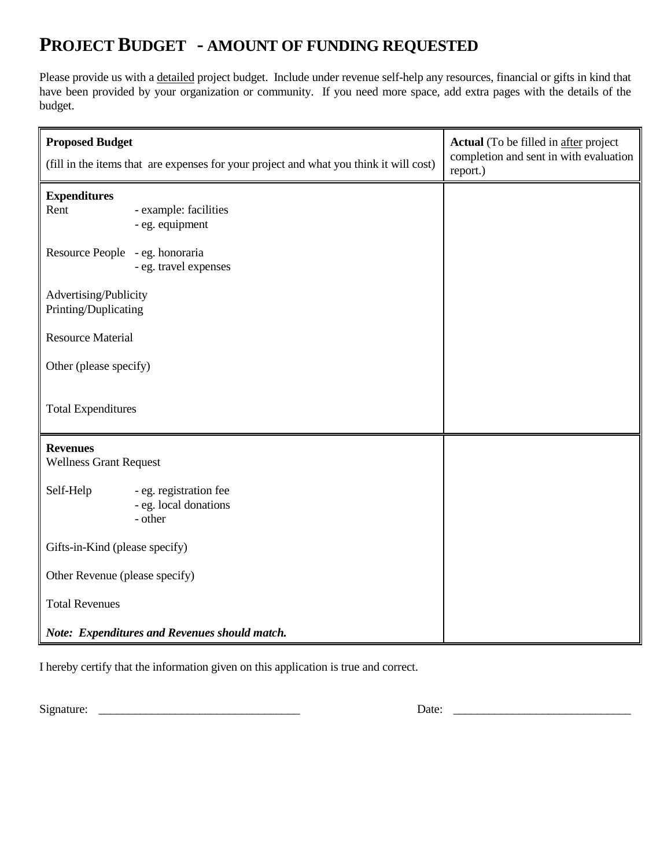# **PROJECT BUDGET - AMOUNT OF FUNDING REQUESTED**

Please provide us with a detailed project budget. Include under revenue self-help any resources, financial or gifts in kind that have been provided by your organization or community. If you need more space, add extra pages with the details of the budget.

| <b>Proposed Budget</b>                           | (fill in the items that are expenses for your project and what you think it will cost) | <b>Actual</b> (To be filled in after project<br>completion and sent in with evaluation<br>report.) |
|--------------------------------------------------|----------------------------------------------------------------------------------------|----------------------------------------------------------------------------------------------------|
| <b>Expenditures</b><br>Rent                      | - example: facilities<br>- eg. equipment                                               |                                                                                                    |
| Resource People - eg. honoraria                  | - eg. travel expenses                                                                  |                                                                                                    |
| Advertising/Publicity<br>Printing/Duplicating    |                                                                                        |                                                                                                    |
| <b>Resource Material</b>                         |                                                                                        |                                                                                                    |
| Other (please specify)                           |                                                                                        |                                                                                                    |
| <b>Total Expenditures</b>                        |                                                                                        |                                                                                                    |
| <b>Revenues</b><br><b>Wellness Grant Request</b> |                                                                                        |                                                                                                    |
| Self-Help                                        | - eg. registration fee<br>- eg. local donations<br>- other                             |                                                                                                    |
| Gifts-in-Kind (please specify)                   |                                                                                        |                                                                                                    |
| Other Revenue (please specify)                   |                                                                                        |                                                                                                    |
| <b>Total Revenues</b>                            |                                                                                        |                                                                                                    |
|                                                  | Note: Expenditures and Revenues should match.                                          |                                                                                                    |

I hereby certify that the information given on this application is true and correct.

Signature: \_\_\_\_\_\_\_\_\_\_\_\_\_\_\_\_\_\_\_\_\_\_\_\_\_\_\_\_\_\_\_\_\_\_ Date: \_\_\_\_\_\_\_\_\_\_\_\_\_\_\_\_\_\_\_\_\_\_\_\_\_\_\_\_\_\_